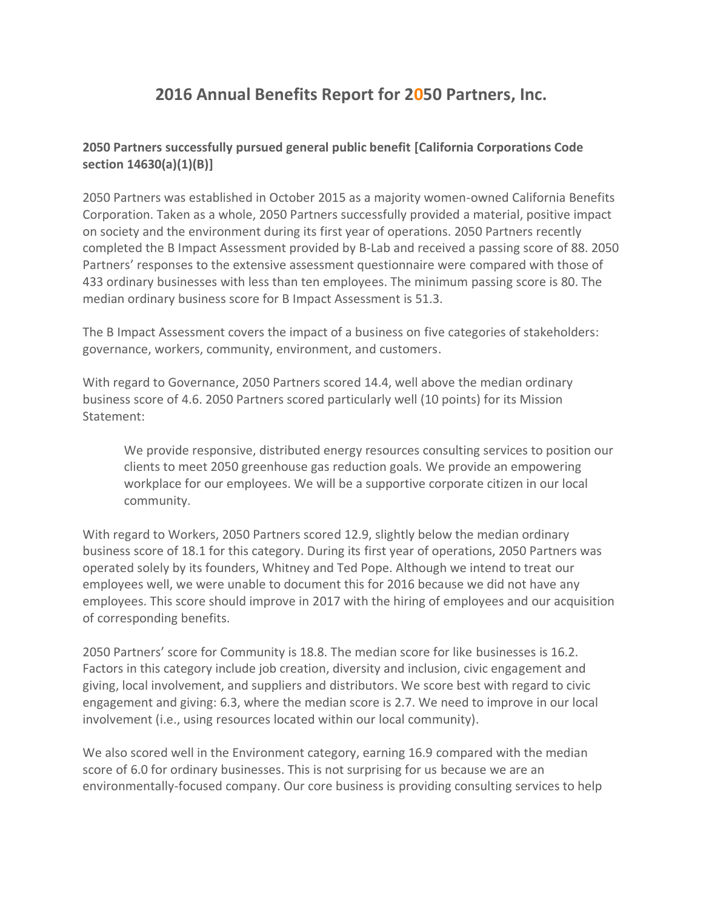# **2016 Annual Benefits Report for 2050 Partners, Inc.**

## **2050 Partners successfully pursued general public benefit [California Corporations Code section 14630(a)(1)(B)]**

2050 Partners was established in October 2015 as a majority women-owned California Benefits Corporation. Taken as a whole, 2050 Partners successfully provided a material, positive impact on society and the environment during its first year of operations. 2050 Partners recently completed the B Impact Assessment provided by B-Lab and received a passing score of 88. 2050 Partners' responses to the extensive assessment questionnaire were compared with those of 433 ordinary businesses with less than ten employees. The minimum passing score is 80. The median ordinary business score for B Impact Assessment is 51.3.

The B Impact Assessment covers the impact of a business on five categories of stakeholders: governance, workers, community, environment, and customers.

With regard to Governance, 2050 Partners scored 14.4, well above the median ordinary business score of 4.6. 2050 Partners scored particularly well (10 points) for its Mission Statement:

We provide responsive, distributed energy resources consulting services to position our clients to meet 2050 greenhouse gas reduction goals. We provide an empowering workplace for our employees. We will be a supportive corporate citizen in our local community.

With regard to Workers, 2050 Partners scored 12.9, slightly below the median ordinary business score of 18.1 for this category. During its first year of operations, 2050 Partners was operated solely by its founders, Whitney and Ted Pope. Although we intend to treat our employees well, we were unable to document this for 2016 because we did not have any employees. This score should improve in 2017 with the hiring of employees and our acquisition of corresponding benefits.

2050 Partners' score for Community is 18.8. The median score for like businesses is 16.2. Factors in this category include job creation, diversity and inclusion, civic engagement and giving, local involvement, and suppliers and distributors. We score best with regard to civic engagement and giving: 6.3, where the median score is 2.7. We need to improve in our local involvement (i.e., using resources located within our local community).

We also scored well in the Environment category, earning 16.9 compared with the median score of 6.0 for ordinary businesses. This is not surprising for us because we are an environmentally-focused company. Our core business is providing consulting services to help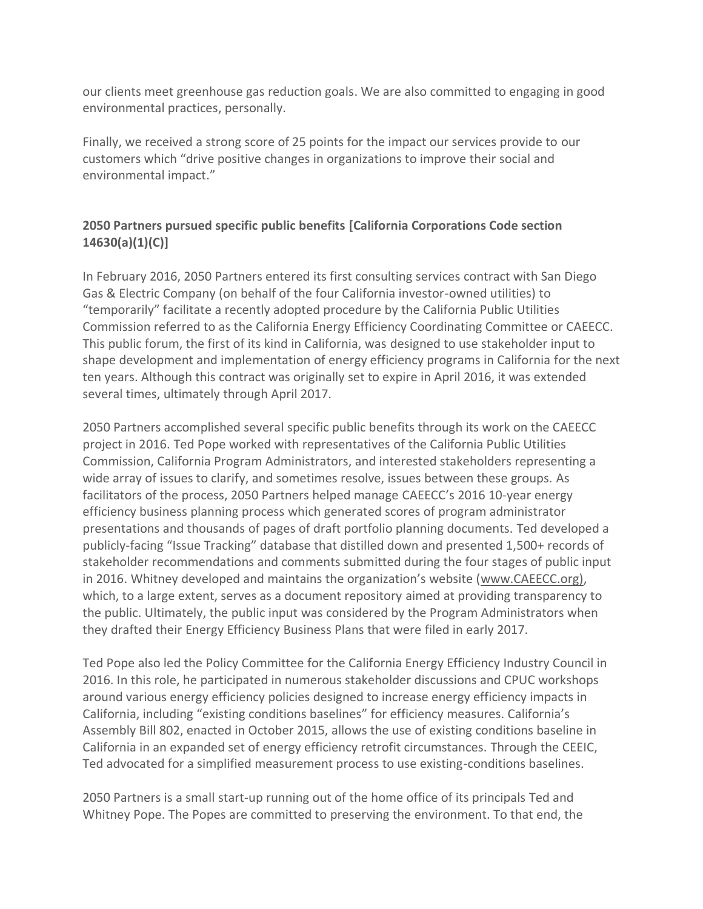our clients meet greenhouse gas reduction goals. We are also committed to engaging in good environmental practices, personally.

Finally, we received a strong score of 25 points for the impact our services provide to our customers which "drive positive changes in organizations to improve their social and environmental impact."

# **2050 Partners pursued specific public benefits [California Corporations Code section 14630(a)(1)(C)]**

In February 2016, 2050 Partners entered its first consulting services contract with San Diego Gas & Electric Company (on behalf of the four California investor-owned utilities) to "temporarily" facilitate a recently adopted procedure by the California Public Utilities Commission referred to as the California Energy Efficiency Coordinating Committee or CAEECC. This public forum, the first of its kind in California, was designed to use stakeholder input to shape development and implementation of energy efficiency programs in California for the next ten years. Although this contract was originally set to expire in April 2016, it was extended several times, ultimately through April 2017.

2050 Partners accomplished several specific public benefits through its work on the CAEECC project in 2016. Ted Pope worked with representatives of the California Public Utilities Commission, California Program Administrators, and interested stakeholders representing a wide array of issues to clarify, and sometimes resolve, issues between these groups. As facilitators of the process, 2050 Partners helped manage CAEECC's 2016 10-year energy efficiency business planning process which generated scores of program administrator presentations and thousands of pages of draft portfolio planning documents. Ted developed a publicly-facing "Issue Tracking" database that distilled down and presented 1,500+ records of stakeholder recommendations and comments submitted during the four stages of public input in 2016. Whitney developed and maintains the organization's website ([www.CAEECC.org\),](http://www.caeecc.org)/) which, to a large extent, serves as a document repository aimed at providing transparency to the public. Ultimately, the public input was considered by the Program Administrators when they drafted their Energy Efficiency Business Plans that were filed in early 2017.

Ted Pope also led the Policy Committee for the California Energy Efficiency Industry Council in 2016. In this role, he participated in numerous stakeholder discussions and CPUC workshops around various energy efficiency policies designed to increase energy efficiency impacts in California, including "existing conditions baselines" for efficiency measures. California's Assembly Bill 802, enacted in October 2015, allows the use of existing conditions baseline in California in an expanded set of energy efficiency retrofit circumstances. Through the CEEIC, Ted advocated for a simplified measurement process to use existing-conditions baselines.

2050 Partners is a small start-up running out of the home office of its principals Ted and Whitney Pope. The Popes are committed to preserving the environment. To that end, the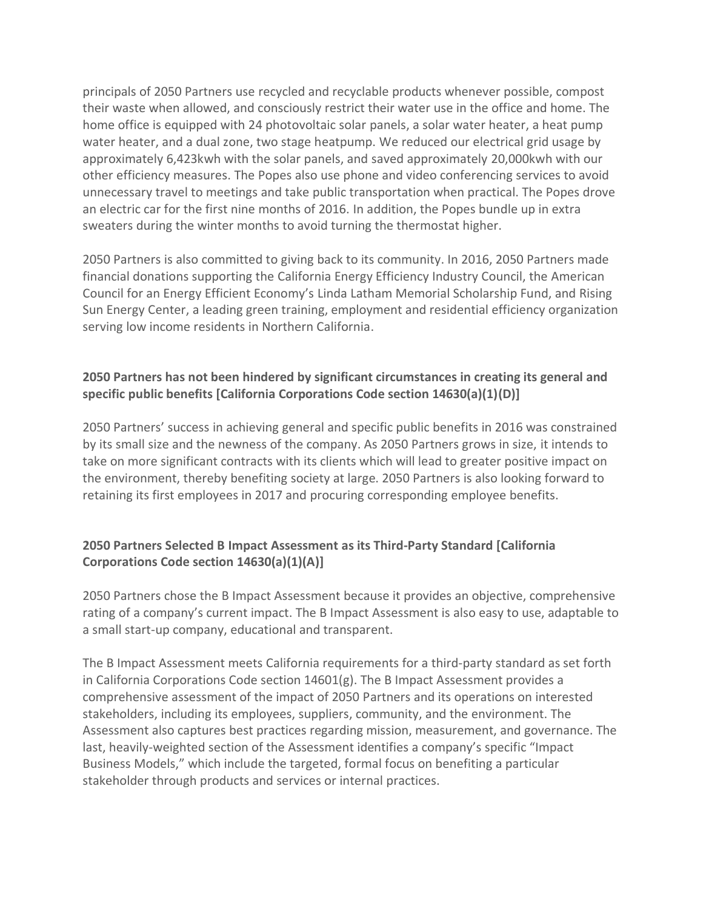principals of 2050 Partners use recycled and recyclable products whenever possible, compost their waste when allowed, and consciously restrict their water use in the office and home. The home office is equipped with 24 photovoltaic solar panels, a solar water heater, a heat pump water heater, and a dual zone, two stage heatpump. We reduced our electrical grid usage by approximately 6,423kwh with the solar panels, and saved approximately 20,000kwh with our other efficiency measures. The Popes also use phone and video conferencing services to avoid unnecessary travel to meetings and take public transportation when practical. The Popes drove an electric car for the first nine months of 2016. In addition, the Popes bundle up in extra sweaters during the winter months to avoid turning the thermostat higher.

2050 Partners is also committed to giving back to its community. In 2016, 2050 Partners made financial donations supporting the California Energy Efficiency Industry Council, the American Council for an Energy Efficient Economy's Linda Latham Memorial Scholarship Fund, and Rising Sun Energy Center, a leading green training, employment and residential efficiency organization serving low income residents in Northern California.

### **2050 Partners has not been hindered by significant circumstances in creating its general and specific public benefits [California Corporations Code section 14630(a)(1)(D)]**

2050 Partners' success in achieving general and specific public benefits in 2016 was constrained by its small size and the newness of the company. As 2050 Partners grows in size, it intends to take on more significant contracts with its clients which will lead to greater positive impact on the environment, thereby benefiting society at large. 2050 Partners is also looking forward to retaining its first employees in 2017 and procuring corresponding employee benefits.

## **2050 Partners Selected B Impact Assessment as its Third-Party Standard [California Corporations Code section 14630(a)(1)(A)]**

2050 Partners chose the B Impact Assessment because it provides an objective, comprehensive rating of a company's current impact. The B Impact Assessment is also easy to use, adaptable to a small start-up company, educational and transparent.

The B Impact Assessment meets California requirements for a third-party standard as set forth in California Corporations Code section 14601(g). The B Impact Assessment provides a comprehensive assessment of the impact of 2050 Partners and its operations on interested stakeholders, including its employees, suppliers, community, and the environment. The Assessment also captures best practices regarding mission, measurement, and governance. The last, heavily-weighted section of the Assessment identifies a company's specific "Impact Business Models," which include the targeted, formal focus on benefiting a particular stakeholder through products and services or internal practices.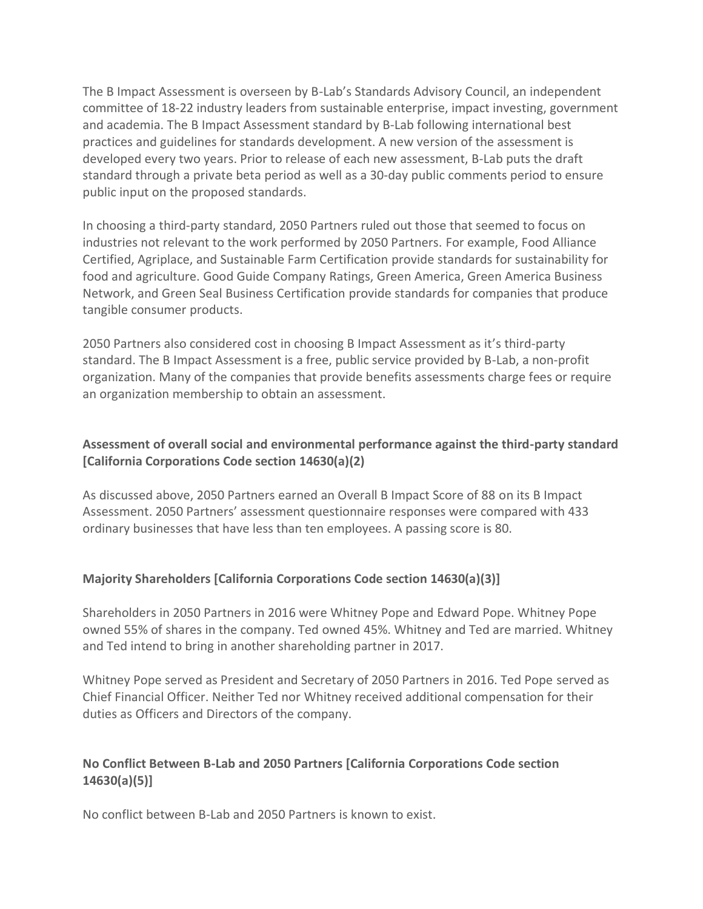The B Impact Assessment is overseen by B-Lab's Standards Advisory Council, an independent committee of 18-22 industry leaders from sustainable enterprise, impact investing, government and academia. The B Impact Assessment standard by B-Lab following international best practices and guidelines for standards development. A new version of the assessment is developed every two years. Prior to release of each new assessment, B-Lab puts the draft standard through a private beta period as well as a 30-day public comments period to ensure public input on the proposed standards.

In choosing a third-party standard, 2050 Partners ruled out those that seemed to focus on industries not relevant to the work performed by 2050 Partners. For example, Food Alliance Certified, Agriplace, and Sustainable Farm Certification provide standards for sustainability for food and agriculture. Good Guide Company Ratings, Green America, Green America Business Network, and Green Seal Business Certification provide standards for companies that produce tangible consumer products.

2050 Partners also considered cost in choosing B Impact Assessment as it's third-party standard. The B Impact Assessment is a free, public service provided by B-Lab, a non-profit organization. Many of the companies that provide benefits assessments charge fees or require an organization membership to obtain an assessment.

#### **Assessment of overall social and environmental performance against the third-party standard [California Corporations Code section 14630(a)(2)**

As discussed above, 2050 Partners earned an Overall B Impact Score of 88 on its B Impact Assessment. 2050 Partners' assessment questionnaire responses were compared with 433 ordinary businesses that have less than ten employees. A passing score is 80.

#### **Majority Shareholders [California Corporations Code section 14630(a)(3)]**

Shareholders in 2050 Partners in 2016 were Whitney Pope and Edward Pope. Whitney Pope owned 55% of shares in the company. Ted owned 45%. Whitney and Ted are married. Whitney and Ted intend to bring in another shareholding partner in 2017.

Whitney Pope served as President and Secretary of 2050 Partners in 2016. Ted Pope served as Chief Financial Officer. Neither Ted nor Whitney received additional compensation for their duties as Officers and Directors of the company.

#### **No Conflict Between B-Lab and 2050 Partners [California Corporations Code section 14630(a)(5)]**

No conflict between B-Lab and 2050 Partners is known to exist.